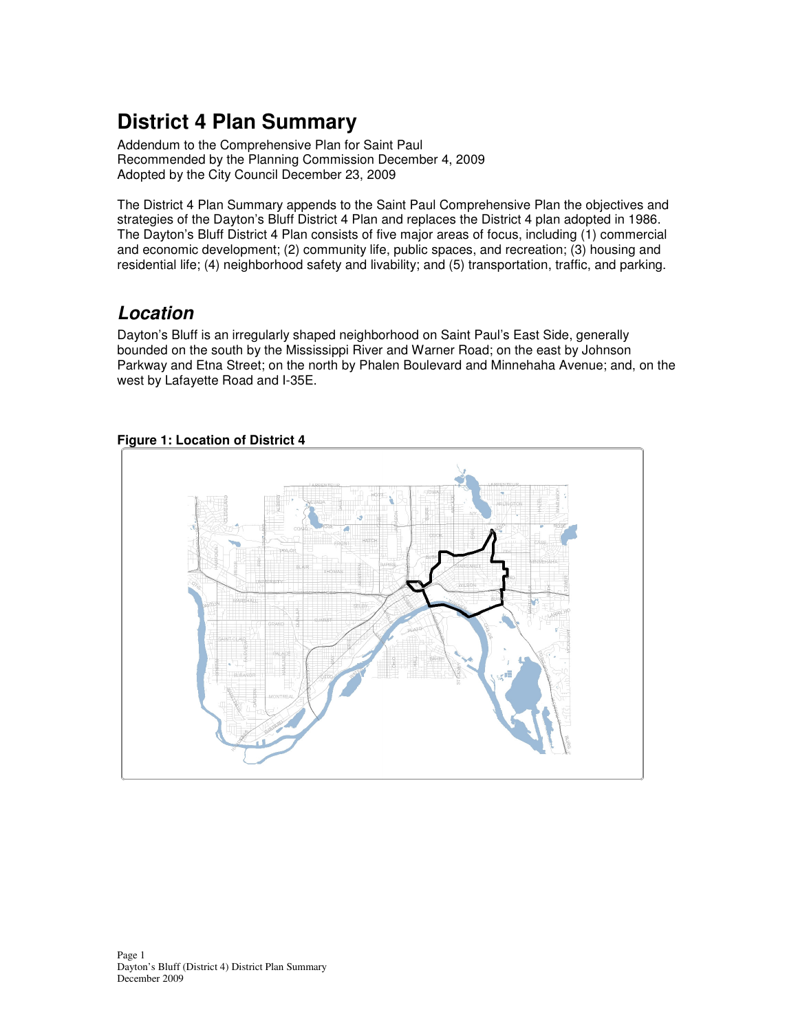# **District 4 Plan Summary**

Addendum to the Comprehensive Plan for Saint Paul Recommended by the Planning Commission December 4, 2009 Adopted by the City Council December 23, 2009

The District 4 Plan Summary appends to the Saint Paul Comprehensive Plan the objectives and strategies of the Dayton's Bluff District 4 Plan and replaces the District 4 plan adopted in 1986. The Dayton's Bluff District 4 Plan consists of five major areas of focus, including (1) commercial and economic development; (2) community life, public spaces, and recreation; (3) housing and residential life; (4) neighborhood safety and livability; and (5) transportation, traffic, and parking.

# **Location**

Dayton's Bluff is an irregularly shaped neighborhood on Saint Paul's East Side, generally bounded on the south by the Mississippi River and Warner Road; on the east by Johnson Parkway and Etna Street; on the north by Phalen Boulevard and Minnehaha Avenue; and, on the west by Lafayette Road and I-35E.



# **Figure 1: Location of District 4**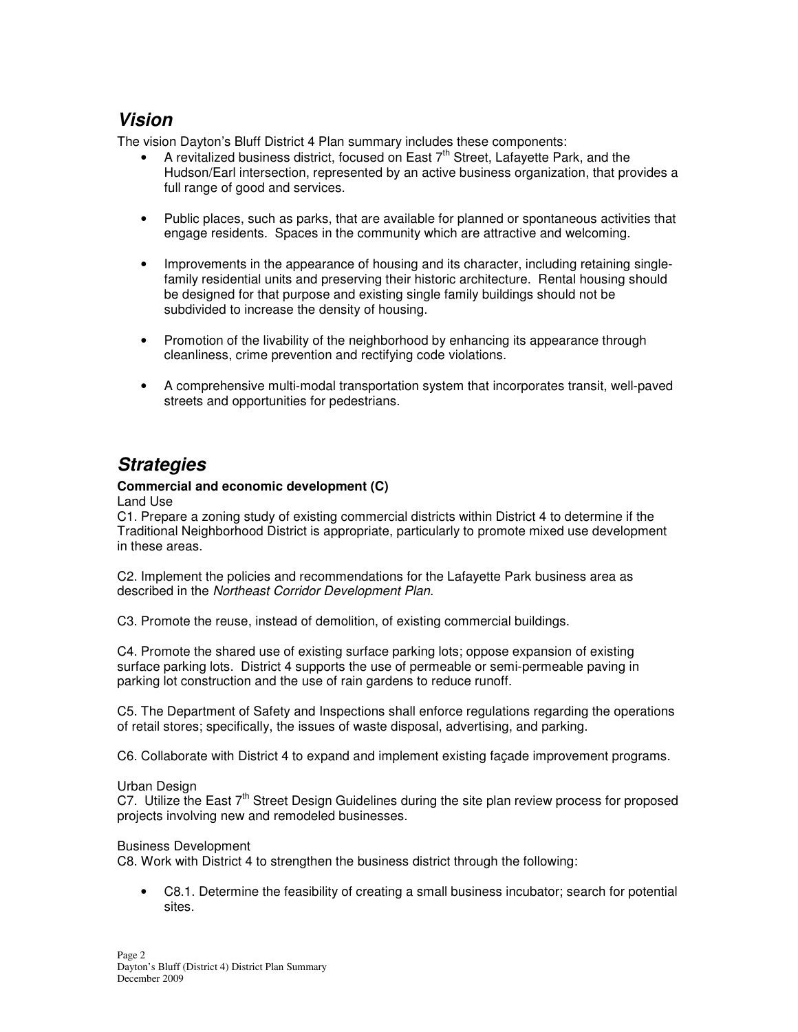# **Vision**

The vision Dayton's Bluff District 4 Plan summary includes these components:

- A revitalized business district, focused on East  $7<sup>th</sup>$  Street, Lafayette Park, and the Hudson/Earl intersection, represented by an active business organization, that provides a full range of good and services.
- Public places, such as parks, that are available for planned or spontaneous activities that engage residents. Spaces in the community which are attractive and welcoming.
- Improvements in the appearance of housing and its character, including retaining singlefamily residential units and preserving their historic architecture. Rental housing should be designed for that purpose and existing single family buildings should not be subdivided to increase the density of housing.
- Promotion of the livability of the neighborhood by enhancing its appearance through cleanliness, crime prevention and rectifying code violations.
- A comprehensive multi-modal transportation system that incorporates transit, well-paved streets and opportunities for pedestrians.

# **Strategies**

## **Commercial and economic development (C)**

Land Use

C1. Prepare a zoning study of existing commercial districts within District 4 to determine if the Traditional Neighborhood District is appropriate, particularly to promote mixed use development in these areas.

C2. Implement the policies and recommendations for the Lafayette Park business area as described in the Northeast Corridor Development Plan.

C3. Promote the reuse, instead of demolition, of existing commercial buildings.

C4. Promote the shared use of existing surface parking lots; oppose expansion of existing surface parking lots. District 4 supports the use of permeable or semi-permeable paving in parking lot construction and the use of rain gardens to reduce runoff.

C5. The Department of Safety and Inspections shall enforce regulations regarding the operations of retail stores; specifically, the issues of waste disposal, advertising, and parking.

C6. Collaborate with District 4 to expand and implement existing façade improvement programs.

### Urban Design

C7. Utilize the East 7<sup>th</sup> Street Design Guidelines during the site plan review process for proposed projects involving new and remodeled businesses.

### Business Development

C8. Work with District 4 to strengthen the business district through the following:

• C8.1. Determine the feasibility of creating a small business incubator; search for potential sites.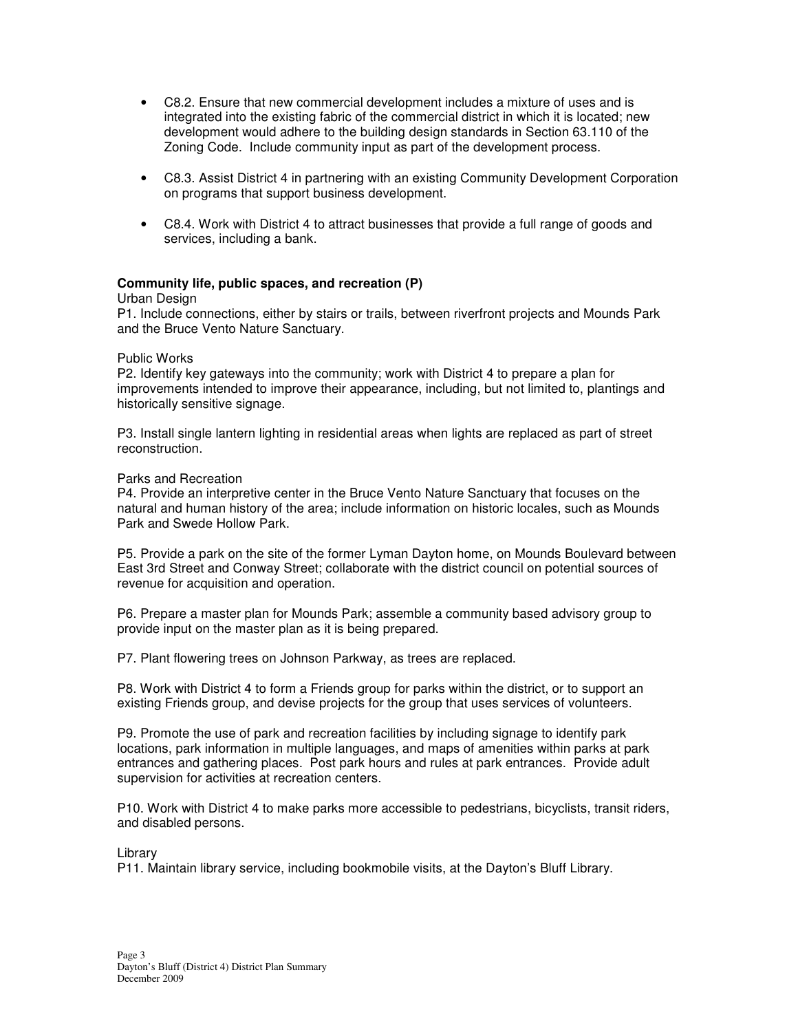- C8.2. Ensure that new commercial development includes a mixture of uses and is integrated into the existing fabric of the commercial district in which it is located; new development would adhere to the building design standards in Section 63.110 of the Zoning Code. Include community input as part of the development process.
- C8.3. Assist District 4 in partnering with an existing Community Development Corporation on programs that support business development.
- C8.4. Work with District 4 to attract businesses that provide a full range of goods and services, including a bank.

### **Community life, public spaces, and recreation (P)**

#### Urban Design

P1. Include connections, either by stairs or trails, between riverfront projects and Mounds Park and the Bruce Vento Nature Sanctuary.

### Public Works

P2. Identify key gateways into the community; work with District 4 to prepare a plan for improvements intended to improve their appearance, including, but not limited to, plantings and historically sensitive signage.

P3. Install single lantern lighting in residential areas when lights are replaced as part of street reconstruction.

#### Parks and Recreation

P4. Provide an interpretive center in the Bruce Vento Nature Sanctuary that focuses on the natural and human history of the area; include information on historic locales, such as Mounds Park and Swede Hollow Park.

P5. Provide a park on the site of the former Lyman Dayton home, on Mounds Boulevard between East 3rd Street and Conway Street; collaborate with the district council on potential sources of revenue for acquisition and operation.

P6. Prepare a master plan for Mounds Park; assemble a community based advisory group to provide input on the master plan as it is being prepared.

P7. Plant flowering trees on Johnson Parkway, as trees are replaced.

P8. Work with District 4 to form a Friends group for parks within the district, or to support an existing Friends group, and devise projects for the group that uses services of volunteers.

P9. Promote the use of park and recreation facilities by including signage to identify park locations, park information in multiple languages, and maps of amenities within parks at park entrances and gathering places. Post park hours and rules at park entrances. Provide adult supervision for activities at recreation centers.

P10. Work with District 4 to make parks more accessible to pedestrians, bicyclists, transit riders, and disabled persons.

Library

P11. Maintain library service, including bookmobile visits, at the Dayton's Bluff Library.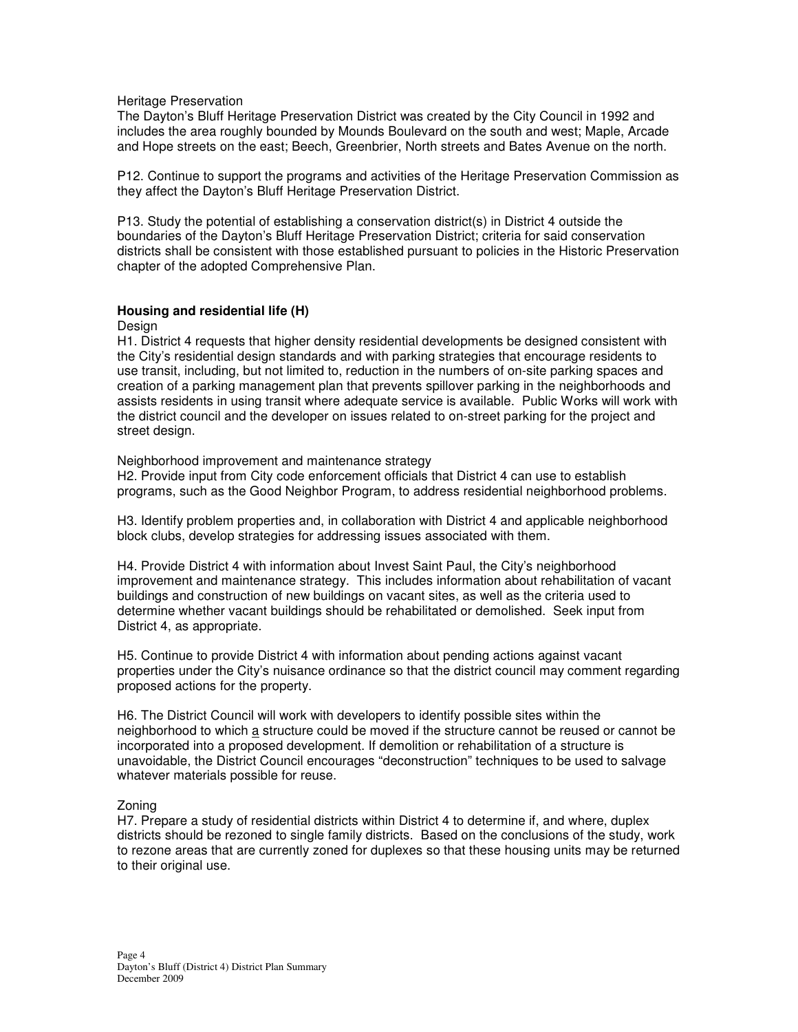#### Heritage Preservation

The Dayton's Bluff Heritage Preservation District was created by the City Council in 1992 and includes the area roughly bounded by Mounds Boulevard on the south and west; Maple, Arcade and Hope streets on the east; Beech, Greenbrier, North streets and Bates Avenue on the north.

P12. Continue to support the programs and activities of the Heritage Preservation Commission as they affect the Dayton's Bluff Heritage Preservation District.

P13. Study the potential of establishing a conservation district(s) in District 4 outside the boundaries of the Dayton's Bluff Heritage Preservation District; criteria for said conservation districts shall be consistent with those established pursuant to policies in the Historic Preservation chapter of the adopted Comprehensive Plan.

#### **Housing and residential life (H)**

**Design** 

H1. District 4 requests that higher density residential developments be designed consistent with the City's residential design standards and with parking strategies that encourage residents to use transit, including, but not limited to, reduction in the numbers of on-site parking spaces and creation of a parking management plan that prevents spillover parking in the neighborhoods and assists residents in using transit where adequate service is available. Public Works will work with the district council and the developer on issues related to on-street parking for the project and street design.

#### Neighborhood improvement and maintenance strategy

H2. Provide input from City code enforcement officials that District 4 can use to establish programs, such as the Good Neighbor Program, to address residential neighborhood problems.

H3. Identify problem properties and, in collaboration with District 4 and applicable neighborhood block clubs, develop strategies for addressing issues associated with them.

H4. Provide District 4 with information about Invest Saint Paul, the City's neighborhood improvement and maintenance strategy. This includes information about rehabilitation of vacant buildings and construction of new buildings on vacant sites, as well as the criteria used to determine whether vacant buildings should be rehabilitated or demolished. Seek input from District 4, as appropriate.

H5. Continue to provide District 4 with information about pending actions against vacant properties under the City's nuisance ordinance so that the district council may comment regarding proposed actions for the property.

H6. The District Council will work with developers to identify possible sites within the neighborhood to which a structure could be moved if the structure cannot be reused or cannot be incorporated into a proposed development. If demolition or rehabilitation of a structure is unavoidable, the District Council encourages "deconstruction" techniques to be used to salvage whatever materials possible for reuse.

#### Zoning

H7. Prepare a study of residential districts within District 4 to determine if, and where, duplex districts should be rezoned to single family districts. Based on the conclusions of the study, work to rezone areas that are currently zoned for duplexes so that these housing units may be returned to their original use.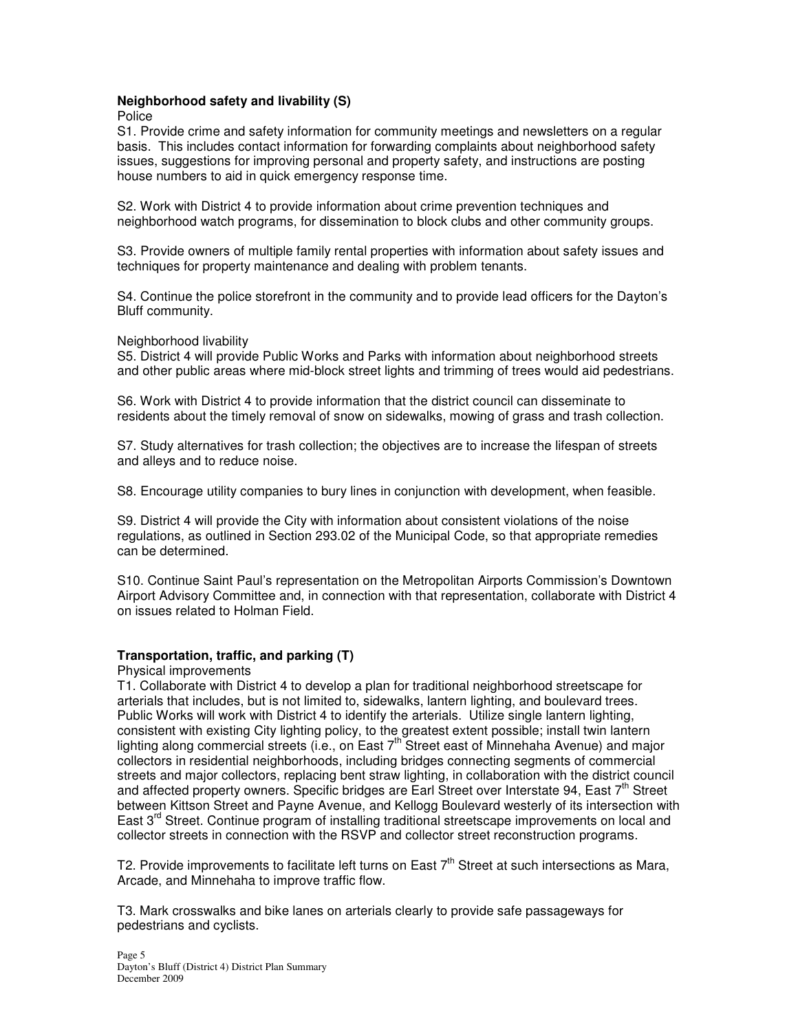### **Neighborhood safety and livability (S)**

Police

S1. Provide crime and safety information for community meetings and newsletters on a regular basis. This includes contact information for forwarding complaints about neighborhood safety issues, suggestions for improving personal and property safety, and instructions are posting house numbers to aid in quick emergency response time.

S2. Work with District 4 to provide information about crime prevention techniques and neighborhood watch programs, for dissemination to block clubs and other community groups.

S3. Provide owners of multiple family rental properties with information about safety issues and techniques for property maintenance and dealing with problem tenants.

S4. Continue the police storefront in the community and to provide lead officers for the Dayton's Bluff community.

#### Neighborhood livability

S5. District 4 will provide Public Works and Parks with information about neighborhood streets and other public areas where mid-block street lights and trimming of trees would aid pedestrians.

S6. Work with District 4 to provide information that the district council can disseminate to residents about the timely removal of snow on sidewalks, mowing of grass and trash collection.

S7. Study alternatives for trash collection; the objectives are to increase the lifespan of streets and alleys and to reduce noise.

S8. Encourage utility companies to bury lines in conjunction with development, when feasible.

S9. District 4 will provide the City with information about consistent violations of the noise regulations, as outlined in Section 293.02 of the Municipal Code, so that appropriate remedies can be determined.

S10. Continue Saint Paul's representation on the Metropolitan Airports Commission's Downtown Airport Advisory Committee and, in connection with that representation, collaborate with District 4 on issues related to Holman Field.

#### **Transportation, traffic, and parking (T)**

Physical improvements

T1. Collaborate with District 4 to develop a plan for traditional neighborhood streetscape for arterials that includes, but is not limited to, sidewalks, lantern lighting, and boulevard trees. Public Works will work with District 4 to identify the arterials. Utilize single lantern lighting, consistent with existing City lighting policy, to the greatest extent possible; install twin lantern lighting along commercial streets (i.e., on East  $7<sup>th</sup>$  Street east of Minnehaha Avenue) and major collectors in residential neighborhoods, including bridges connecting segments of commercial streets and major collectors, replacing bent straw lighting, in collaboration with the district council and affected property owners. Specific bridges are Earl Street over Interstate 94, East 7<sup>th</sup> Street between Kittson Street and Payne Avenue, and Kellogg Boulevard westerly of its intersection with East 3<sup>rd</sup> Street. Continue program of installing traditional streetscape improvements on local and collector streets in connection with the RSVP and collector street reconstruction programs.

T2. Provide improvements to facilitate left turns on East  $7<sup>th</sup>$  Street at such intersections as Mara, Arcade, and Minnehaha to improve traffic flow.

T3. Mark crosswalks and bike lanes on arterials clearly to provide safe passageways for pedestrians and cyclists.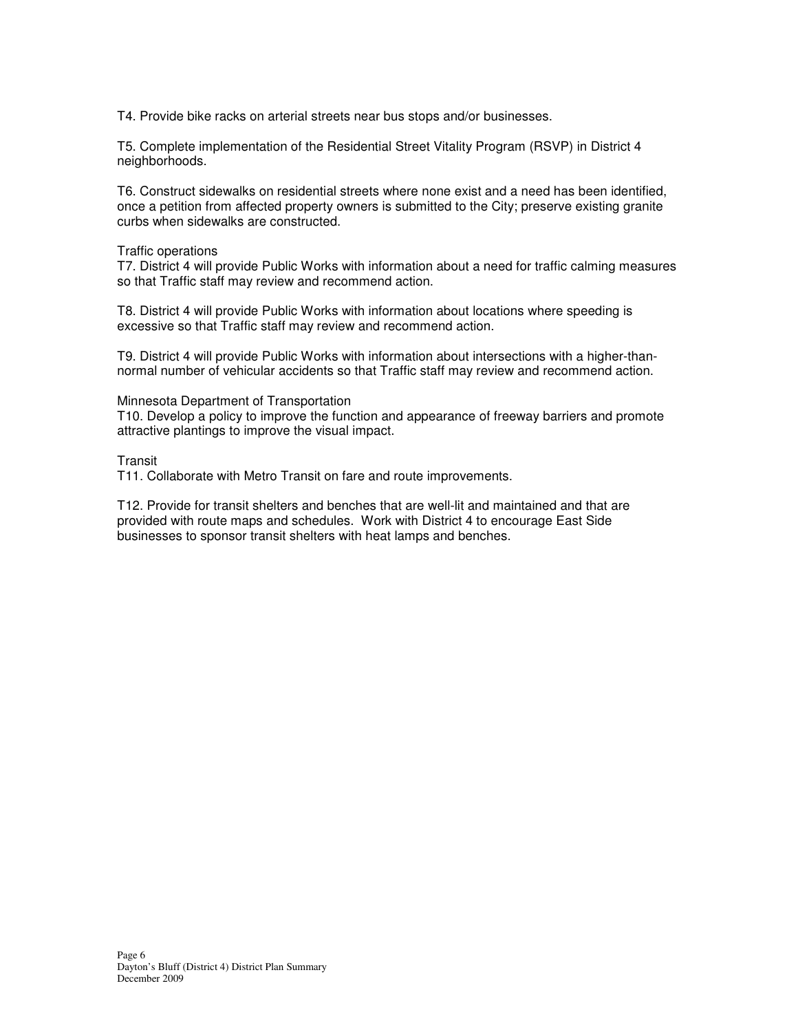T4. Provide bike racks on arterial streets near bus stops and/or businesses.

T5. Complete implementation of the Residential Street Vitality Program (RSVP) in District 4 neighborhoods.

T6. Construct sidewalks on residential streets where none exist and a need has been identified, once a petition from affected property owners is submitted to the City; preserve existing granite curbs when sidewalks are constructed.

#### Traffic operations

T7. District 4 will provide Public Works with information about a need for traffic calming measures so that Traffic staff may review and recommend action.

T8. District 4 will provide Public Works with information about locations where speeding is excessive so that Traffic staff may review and recommend action.

T9. District 4 will provide Public Works with information about intersections with a higher-thannormal number of vehicular accidents so that Traffic staff may review and recommend action.

#### Minnesota Department of Transportation

T10. Develop a policy to improve the function and appearance of freeway barriers and promote attractive plantings to improve the visual impact.

#### **Transit**

T11. Collaborate with Metro Transit on fare and route improvements.

T12. Provide for transit shelters and benches that are well-lit and maintained and that are provided with route maps and schedules. Work with District 4 to encourage East Side businesses to sponsor transit shelters with heat lamps and benches.